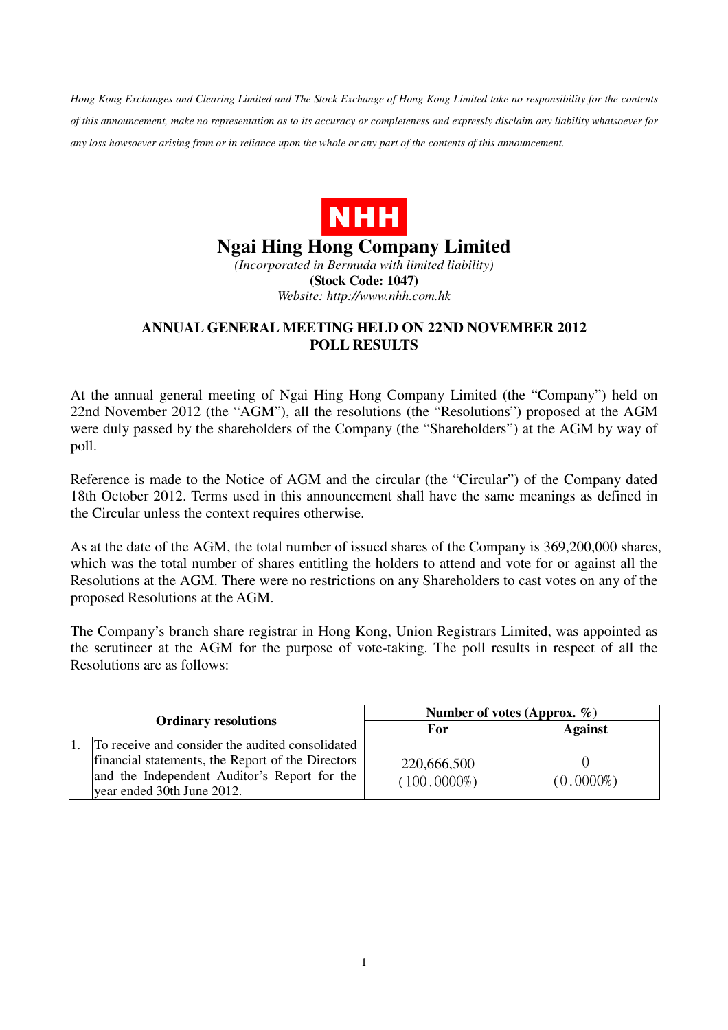*Hong Kong Exchanges and Clearing Limited and The Stock Exchange of Hong Kong Limited take no responsibility for the contents of this announcement, make no representation as to its accuracy or completeness and expressly disclaim any liability whatsoever for any loss howsoever arising from or in reliance upon the whole or any part of the contents of this announcement.* 



## **Ngai Hing Hong Company Limited**

*(Incorporated in Bermuda with limited liability)*  **(Stock Code: 1047)**  *Website: http://www.nhh.com.hk* 

## **ANNUAL GENERAL MEETING HELD ON 22ND NOVEMBER 2012 POLL RESULTS**

At the annual general meeting of Ngai Hing Hong Company Limited (the "Company") held on 22nd November 2012 (the "AGM"), all the resolutions (the "Resolutions") proposed at the AGM were duly passed by the shareholders of the Company (the "Shareholders") at the AGM by way of poll.

Reference is made to the Notice of AGM and the circular (the "Circular") of the Company dated 18th October 2012. Terms used in this announcement shall have the same meanings as defined in the Circular unless the context requires otherwise.

As at the date of the AGM, the total number of issued shares of the Company is 369,200,000 shares, which was the total number of shares entitling the holders to attend and vote for or against all the Resolutions at the AGM. There were no restrictions on any Shareholders to cast votes on any of the proposed Resolutions at the AGM.

The Company's branch share registrar in Hong Kong, Union Registrars Limited, was appointed as the scrutineer at the AGM for the purpose of vote-taking. The poll results in respect of all the Resolutions are as follows:

| <b>Ordinary resolutions</b>                                                                                                                                                         | Number of votes (Approx. $\%$ ) |                |
|-------------------------------------------------------------------------------------------------------------------------------------------------------------------------------------|---------------------------------|----------------|
|                                                                                                                                                                                     | For                             | <b>Against</b> |
| To receive and consider the audited consolidated<br>financial statements, the Report of the Directors<br>and the Independent Auditor's Report for the<br>year ended 30th June 2012. | 220,666,500<br>$(100.0000\%)$   | $(0.0000\%)$   |